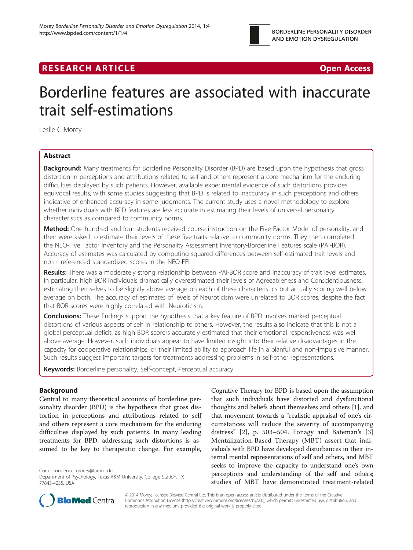

## **RESEARCH ARTICLE EXECUTE: CONSIDERING A RESEARCH ARTICLE**

# Borderline features are associated with inaccurate trait self-estimations

Leslie C Morey

## Abstract

**Background:** Many treatments for Borderline Personality Disorder (BPD) are based upon the hypothesis that gross distortion in perceptions and attributions related to self and others represent a core mechanism for the enduring difficulties displayed by such patients. However, available experimental evidence of such distortions provides equivocal results, with some studies suggesting that BPD is related to inaccuracy in such perceptions and others indicative of enhanced accuracy in some judgments. The current study uses a novel methodology to explore whether individuals with BPD features are less accurate in estimating their levels of universal personality characteristics as compared to community norms.

Method: One hundred and four students received course instruction on the Five Factor Model of personality, and then were asked to estimate their levels of these five traits relative to community norms. They then completed the NEO-Five Factor Inventory and the Personality Assessment Inventory-Borderline Features scale (PAI-BOR). Accuracy of estimates was calculated by computing squared differences between self-estimated trait levels and norm-referenced standardized scores in the NEO-FFI.

Results: There was a moderately strong relationship between PAI-BOR score and inaccuracy of trait level estimates. In particular, high BOR individuals dramatically overestimated their levels of Agreeableness and Conscientiousness, estimating themselves to be slightly above average on each of these characteristics but actually scoring well below average on both. The accuracy of estimates of levels of Neuroticism were unrelated to BOR scores, despite the fact that BOR scores were highly correlated with Neuroticism.

**Conclusions:** These findings support the hypothesis that a key feature of BPD involves marked perceptual distortions of various aspects of self in relationship to others. However, the results also indicate that this is not a global perceptual deficit, as high BOR scorers accurately estimated that their emotional responsiveness was well above average. However, such individuals appear to have limited insight into their relative disadvantages in the capacity for cooperative relationships, or their limited ability to approach life in a planful and non-impulsive manner. Such results suggest important targets for treatments addressing problems in self-other representations.

Keywords: Borderline personality, Self-concept, Perceptual accuracy

## Background

Central to many theoretical accounts of borderline personality disorder (BPD) is the hypothesis that gross distortion in perceptions and attributions related to self and others represent a core mechanism for the enduring difficulties displayed by such patients. In many leading treatments for BPD, addressing such distortions is assumed to be key to therapeutic change. For example,

Correspondence: [morey@tamu.edu](mailto:morey@tamu.edu)

Cognitive Therapy for BPD is based upon the assumption that such individuals have distorted and dysfunctional thoughts and beliefs about themselves and others [[1](#page-4-0)], and that movement towards a "realistic appraisal of one's circumstances will reduce the severity of accompanying distress"  $[2]$  $[2]$ , p. 503–504. Fonagy and Bateman's  $[3]$  $[3]$ Mentalization-Based Therapy (MBT) assert that individuals with BPD have developed disturbances in their internal mental representations of self and others, and MBT seeks to improve the capacity to understand one's own perceptions and understanding of the self and others; studies of MBT have demonstrated treatment-related



© 2014 Morey; licensee BioMed Central Ltd. This is an open access article distributed under the terms of the Creative Commons Attribution License [\(http://creativecommons.org/licenses/by/2.0\)](http://creativecommons.org/licenses/by/2.0), which permits unrestricted use, distribution, and reproduction in any medium, provided the original work is properly cited.

Department of Psychology, Texas A&M University, College Station, TX 77843-4235, USA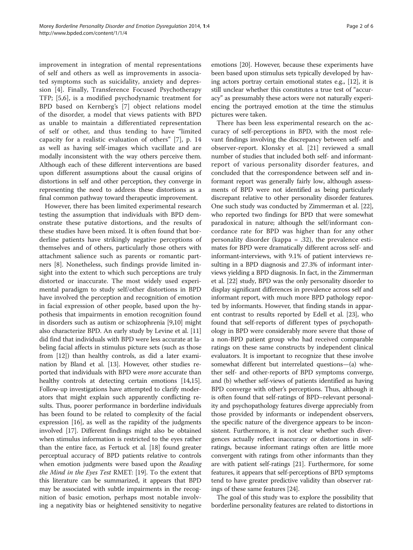improvement in integration of mental representations of self and others as well as improvements in associated symptoms such as suicidality, anxiety and depression [\[4](#page-4-0)]. Finally, Transference Focused Psychotherapy TFP; [[5,6\]](#page-4-0), is a modified psychodynamic treatment for BPD based on Kernberg's [[7\]](#page-5-0) object relations model of the disorder, a model that views patients with BPD as unable to maintain a differentiated representation of self or other, and thus tending to have "limited capacity for a realistic evaluation of others" [[7\]](#page-5-0), p. 14 as well as having self-images which vacillate and are modally inconsistent with the way others perceive them. Although each of these different interventions are based upon different assumptions about the causal origins of distortions in self and other perception, they converge in representing the need to address these distortions as a final common pathway toward therapeutic improvement.

However, there has been limited experimental research testing the assumption that individuals with BPD demonstrate these putative distortions, and the results of these studies have been mixed. It is often found that borderline patients have strikingly negative perceptions of themselves and of others, particularly those others with attachment salience such as parents or romantic partners [\[8](#page-5-0)]. Nonetheless, such findings provide limited insight into the extent to which such perceptions are truly distorted or inaccurate. The most widely used experimental paradigm to study self/other distortions in BPD have involved the perception and recognition of emotion in facial expression of other people, based upon the hypothesis that impairments in emotion recognition found in disorders such as autism or schizophrenia [\[9,10\]](#page-5-0) might also characterize BPD. An early study by Levine et al. [[11](#page-5-0)] did find that individuals with BPD were less accurate at labeling facial affects in stimulus picture sets (such as those from [\[12\]](#page-5-0)) than healthy controls, as did a later examination by Bland et al. [\[13](#page-5-0)]. However, other studies reported that individuals with BPD were more accurate than healthy controls at detecting certain emotions [\[14,15](#page-5-0)]. Follow-up investigations have attempted to clarify moderators that might explain such apparently conflicting results. Thus, poorer performance in borderline individuals has been found to be related to complexity of the facial expression [\[16\]](#page-5-0), as well as the rapidity of the judgments involved [[17](#page-5-0)]. Different findings might also be obtained when stimulus information is restricted to the eyes rather than the entire face, as Fertuck et al. [\[18\]](#page-5-0) found greater perceptual accuracy of BPD patients relative to controls when emotion judgments were based upon the Reading the Mind in the Eyes Test RMET: [\[19\]](#page-5-0). To the extent that this literature can be summarized, it appears that BPD may be associated with subtle impairments in the recognition of basic emotion, perhaps most notable involving a negativity bias or heightened sensitivity to negative emotions [[20](#page-5-0)]. However, because these experiments have been based upon stimulus sets typically developed by having actors portray certain emotional states e.g., [\[12](#page-5-0)], it is still unclear whether this constitutes a true test of "accuracy" as presumably these actors were not naturally experiencing the portrayed emotion at the time the stimulus

pictures were taken. There has been less experimental research on the accuracy of self-perceptions in BPD, with the most relevant findings involving the discrepancy between self- and observer-report. Klonsky et al. [\[21](#page-5-0)] reviewed a small number of studies that included both self- and informantreport of various personality disorder features, and concluded that the correspondence between self and informant report was generally fairly low, although assessments of BPD were not identified as being particularly discrepant relative to other personality disorder features. One such study was conducted by Zimmerman et al. [[22](#page-5-0)], who reported two findings for BPD that were somewhat paradoxical in nature; although the self/informant concordance rate for BPD was higher than for any other personality disorder (kappa = .32), the prevalence estimates for BPD were dramatically different across self- and informant-interviews, with 9.1% of patient interviews resulting in a BPD diagnosis and 27.3% of informant interviews yielding a BPD diagnosis. In fact, in the Zimmerman et al. [\[22\]](#page-5-0) study, BPD was the only personality disorder to display significant differences in prevalence across self and informant report, with much more BPD pathology reported by informants. However, that finding stands in apparent contrast to results reported by Edell et al. [[23](#page-5-0)], who found that self-reports of different types of psychopathology in BPD were considerably more severe that those of a non-BPD patient group who had received comparable ratings on these same constructs by independent clinical evaluators. It is important to recognize that these involve somewhat different but interrelated questions—(a) whether self- and other-reports of BPD symptoms converge, and (b) whether self-views of patients identified as having BPD converge with other's perceptions. Thus, although it is often found that self-ratings of BPD–relevant personality and psychopathology features diverge appreciably from those provided by informants or independent observers, the specific nature of the divergence appears to be inconsistent. Furthermore, it is not clear whether such divergences actually reflect inaccuracy or distortions in selfratings, because informant ratings often are little more convergent with ratings from other informants than they are with patient self-ratings [[21](#page-5-0)]. Furthermore, for some features, it appears that self-perceptions of BPD symptoms tend to have greater predictive validity than observer ratings of these same features [\[24\]](#page-5-0).

The goal of this study was to explore the possibility that borderline personality features are related to distortions in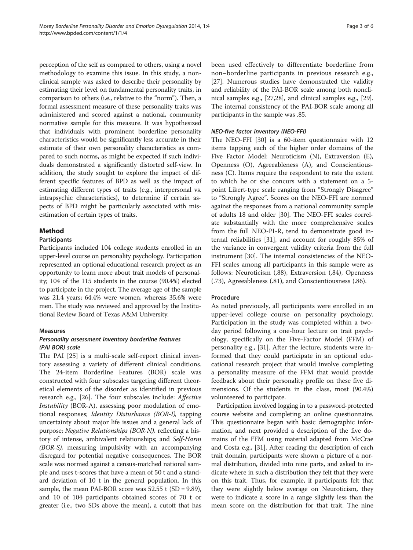perception of the self as compared to others, using a novel methodology to examine this issue. In this study, a nonclinical sample was asked to describe their personality by estimating their level on fundamental personality traits, in comparison to others (i.e., relative to the "norm"). Then, a formal assessment measure of these personality traits was administered and scored against a national, community normative sample for this measure. It was hypothesized that individuals with prominent borderline personality characteristics would be significantly less accurate in their estimate of their own personality characteristics as compared to such norms, as might be expected if such individuals demonstrated a significantly distorted self-view. In addition, the study sought to explore the impact of different specific features of BPD as well as the impact of estimating different types of traits (e.g., interpersonal vs. intrapsychic characteristics), to determine if certain aspects of BPD might be particularly associated with misestimation of certain types of traits.

## Method

## Participants

Participants included 104 college students enrolled in an upper-level course on personality psychology. Participation represented an optional educational research project as an opportunity to learn more about trait models of personality; 104 of the 115 students in the course (90.4%) elected to participate in the project. The average age of the sample was 21.4 years; 64.4% were women, whereas 35.6% were men. The study was reviewed and approved by the Institutional Review Board of Texas A&M University.

## Measures

## Personality assessment inventory borderline features (PAI BOR) scale

The PAI [[25](#page-5-0)] is a multi-scale self-report clinical inventory assessing a variety of different clinical conditions. The 24-item Borderline Features (BOR) scale was constructed with four subscales targeting different theoretical elements of the disorder as identified in previous research e.g., [[26\]](#page-5-0). The four subscales include: Affective Instability (BOR-A), assessing poor modulation of emotional responses; Identity Disturbance (BOR-I), tapping uncertainty about major life issues and a general lack of purpose; Negative Relationships (BOR-N), reflecting a history of intense, ambivalent relationships; and Self-Harm (BOR-S), measuring impulsivity with an accompanying disregard for potential negative consequences. The BOR scale was normed against a census-matched national sample and uses t-scores that have a mean of 50 t and a standard deviation of 10 t in the general population. In this sample, the mean PAI-BOR score was  $52.55$  t (SD = 9.89), and 10 of 104 participants obtained scores of 70 t or greater (i.e., two SDs above the mean), a cutoff that has

been used effectively to differentiate borderline from non–borderline participants in previous research e.g., [[27](#page-5-0)]. Numerous studies have demonstrated the validity and reliability of the PAI-BOR scale among both nonclinical samples e.g., [\[27,28](#page-5-0)], and clinical samples e.g., [[29](#page-5-0)]. The internal consistency of the PAI-BOR scale among all participants in the sample was .85.

#### NEO-five factor inventory (NEO-FFI)

The NEO-FFI [\[30](#page-5-0)] is a 60-item questionnaire with 12 items tapping each of the higher order domains of the Five Factor Model: Neuroticism (N), Extraversion (E), Openness (O), Agreeableness (A), and Conscientiousness (C). Items require the respondent to rate the extent to which he or she concurs with a statement on a 5 point Likert-type scale ranging from "Strongly Disagree" to "Strongly Agree". Scores on the NEO-FFI are normed against the responses from a national community sample of adults 18 and older [\[30](#page-5-0)]. The NEO-FFI scales correlate substantially with the more comprehensive scales from the full NEO-PI-R, tend to demonstrate good internal reliabilities [\[31\]](#page-5-0), and account for roughly 85% of the variance in convergent validity criteria from the full instrument [\[30](#page-5-0)]. The internal consistencies of the NEO-FFI scales among all participants in this sample were as follows: Neuroticism (.88), Extraversion (.84), Openness (.73), Agreeableness (.81), and Conscientiousness (.86).

## Procedure

As noted previously, all participants were enrolled in an upper-level college course on personality psychology. Participation in the study was completed within a twoday period following a one-hour lecture on trait psychology, specifically on the Five-Factor Model (FFM) of personality e.g., [[31](#page-5-0)]. After the lecture, students were informed that they could participate in an optional educational research project that would involve completing a personality measure of the FFM that would provide feedback about their personality profile on these five dimensions. Of the students in the class, most (90.4%) volunteered to participate.

Participation involved logging in to a password-protected course website and completing an online questionnaire. This questionnaire began with basic demographic information, and next provided a description of the five domains of the FFM using material adapted from McCrae and Costa e.g., [\[31\]](#page-5-0). After reading the description of each trait domain, participants were shown a picture of a normal distribution, divided into nine parts, and asked to indicate where in such a distribution they felt that they were on this trait. Thus, for example, if participants felt that they were slightly below average on Neuroticism, they were to indicate a score in a range slightly less than the mean score on the distribution for that trait. The nine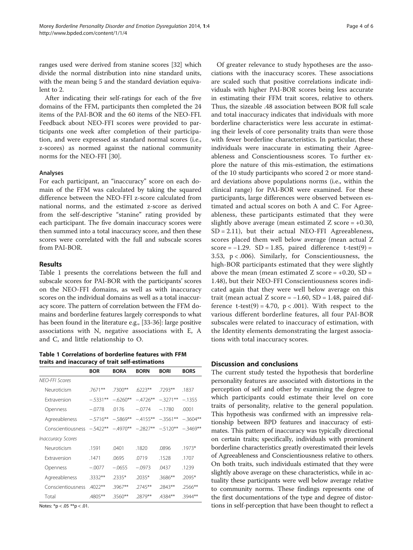ranges used were derived from stanine scores [\[32\]](#page-5-0) which divide the normal distribution into nine standard units, with the mean being 5 and the standard deviation equivalent to 2.

After indicating their self-ratings for each of the five domains of the FFM, participants then completed the 24 items of the PAI-BOR and the 60 items of the NEO-FFI. Feedback about NEO-FFI scores were provided to participants one week after completion of their participation, and were expressed as standard normal scores (i.e., z-scores) as normed against the national community norms for the NEO-FFI [\[30\]](#page-5-0).

#### Analyses

For each participant, an "inaccuracy" score on each domain of the FFM was calculated by taking the squared difference between the NEO-FFI z-score calculated from national norms, and the estimated z-score as derived from the self-descriptive "stanine" rating provided by each participant. The five domain inaccuracy scores were then summed into a total inaccuracy score, and then these scores were correlated with the full and subscale scores from PAI-BOR.

## Results

Table 1 presents the correlations between the full and subscale scores for PAI-BOR with the participants' scores on the NEO-FFI domains, as well as with inaccuracy scores on the individual domains as well as a total inaccuracy score. The pattern of correlation between the FFM domains and borderline features largely corresponds to what has been found in the literature e.g., [\[33-36\]](#page-5-0): large positive associations with N, negative associations with E, A and C, and little relationship to O.

Table 1 Correlations of borderline features with FFM traits and inaccuracy of trait self-estimations

|                          | <b>BOR</b> | <b>BORA</b> | <b>BORN</b> | <b>BORI</b> | <b>BORS</b> |
|--------------------------|------------|-------------|-------------|-------------|-------------|
| <b>NEO-FFI Scores</b>    |            |             |             |             |             |
| Neuroticism              | $.7671**$  | $.7300**$   | $.6223**$   | .7293**     | .1837       |
| <b>Extraversion</b>      | $-.5331**$ | $-.6260**$  | $-.4726**$  | $-.3271**$  | $-.1355$    |
| Openness                 | $-0778$    | .0176       | $-.0774$    | $-.1780$    | .0001       |
| Agreeableness            | $-5716***$ | $-.5869**$  | $-4155***$  | $-.3561**$  | $-.3604**$  |
| Conscientiousness        | $-5422**$  | $-.4970**$  | $-2827**$   | $-.5120**$  | $-.3469**$  |
| <b>Inaccuracy Scores</b> |            |             |             |             |             |
| Neuroticism              | .1591      | .0401       | .1820       | .0896       | .1973*      |
| <b>Extraversion</b>      | .1471      | .0695       | .0719       | .1528       | .1707       |
| Openness                 | $-.0077$   | $-0655$     | $-.0973$    | .0437       | .1239       |
| Agreeableness            | $.3332**$  | .2335*      | $.2035*$    | $.3686**$   | $.2095*$    |
| Conscientiousness        | $.4022**$  | .3967**     | $.2745***$  | $.2843**$   | $.2566***$  |
| Total                    | .4805**    | $.3560**$   | .2879**     | .4384**     | $.3944**$   |

Notes: \*p < .05 \*\*p < .01.

Of greater relevance to study hypotheses are the associations with the inaccuracy scores. These associations are scaled such that positive correlations indicate individuals with higher PAI-BOR scores being less accurate in estimating their FFM trait scores, relative to others. Thus, the sizeable .48 association between BOR full scale and total inaccuracy indicates that individuals with more borderline characteristics were less accurate in estimating their levels of core personality traits than were those with fewer borderline characteristics. In particular, these individuals were inaccurate in estimating their Agreeableness and Conscientiousness scores. To further explore the nature of this mis-estimation, the estimations of the 10 study participants who scored 2 or more standard deviations above populations norms (i.e., within the clinical range) for PAI-BOR were examined. For these participants, large differences were observed between estimated and actual scores on both A and C. For Agreeableness, these participants estimated that they were slightly above average (mean estimated  $Z$  score = +0.30,  $SD = 2.11$ ), but their actual NEO-FFI Agreeableness, scores placed them well below average (mean actual Z score =  $-1.29$ . SD = 1.85, paired difference t-test(9) = 3.53, p < .006). Similarly, for Conscientiousness, the high-BOR participants estimated that they were slightly above the mean (mean estimated Z score =  $+0.20$ , SD = 1.48), but their NEO-FFI Conscientiousness scores indicated again that they were well below average on this trait (mean actual Z score =  $-1.60$ , SD = 1.48, paired difference t-test(9) = 4.70,  $p < .001$ ). With respect to the various different borderline features, all four PAI-BOR subscales were related to inaccuracy of estimation, with the Identity elements demonstrating the largest associations with total inaccuracy scores.

#### Discussion and conclusions

The current study tested the hypothesis that borderline personality features are associated with distortions in the perception of self and other by examining the degree to which participants could estimate their level on core traits of personality, relative to the general population. This hypothesis was confirmed with an impressive relationship between BPD features and inaccuracy of estimates. This pattern of inaccuracy was typically directional on certain traits; specifically, individuals with prominent borderline characteristics greatly overestimated their levels of Agreeableness and Conscientiousness relative to others. On both traits, such individuals estimated that they were slightly above average on these characteristics, while in actuality these participants were well below average relative to community norms. These findings represents one of the first documentations of the type and degree of distortions in self-perception that have been thought to reflect a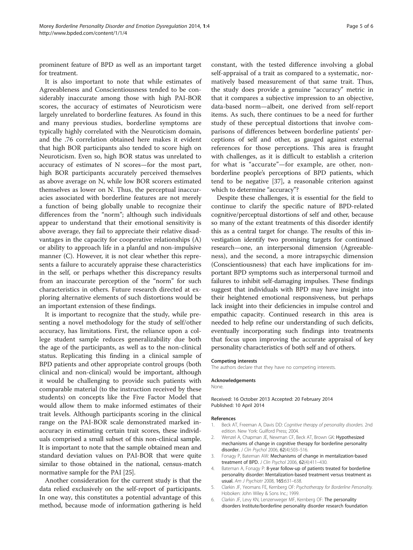<span id="page-4-0"></span>prominent feature of BPD as well as an important target for treatment.

It is also important to note that while estimates of Agreeableness and Conscientiousness tended to be considerably inaccurate among those with high PAI-BOR scores, the accuracy of estimates of Neuroticism were largely unrelated to borderline features. As found in this and many previous studies, borderline symptoms are typically highly correlated with the Neuroticism domain, and the .76 correlation obtained here makes it evident that high BOR participants also tended to score high on Neuroticism. Even so, high BOR status was unrelated to accuracy of estimates of N scores—for the most part, high BOR participants accurately perceived themselves as above average on N, while low BOR scorers estimated themselves as lower on N. Thus, the perceptual inaccuracies associated with borderline features are not merely a function of being globally unable to recognize their differences from the "norm"; although such individuals appear to understand that their emotional sensitivity is above average, they fail to appreciate their relative disadvantages in the capacity for cooperative relationships (A) or ability to approach life in a planful and non-impulsive manner (C). However, it is not clear whether this represents a failure to accurately appraise these characteristics in the self, or perhaps whether this discrepancy results from an inaccurate perception of the "norm" for such characteristics in others. Future research directed at exploring alternative elements of such distortions would be an important extension of these findings.

It is important to recognize that the study, while presenting a novel methodology for the study of self/other accuracy, has limitations. First, the reliance upon a college student sample reduces generalizability due both the age of the participants, as well as to the non-clinical status. Replicating this finding in a clinical sample of BPD patients and other appropriate control groups (both clinical and non-clinical) would be important, although it would be challenging to provide such patients with comparable material (to the instruction received by these students) on concepts like the Five Factor Model that would allow them to make informed estimates of their trait levels. Although participants scoring in the clinical range on the PAI-BOR scale demonstrated marked inaccuracy in estimating certain trait scores, these individuals comprised a small subset of this non-clinical sample. It is important to note that the sample obtained mean and standard deviation values on PAI-BOR that were quite similar to those obtained in the national, census-match normative sample for the PAI [[25](#page-5-0)].

Another consideration for the current study is that the data relied exclusively on the self-report of participants. In one way, this constitutes a potential advantage of this method, because mode of information gathering is held constant, with the tested difference involving a global self-appraisal of a trait as compared to a systematic, normatively based measurement of that same trait. Thus, the study does provide a genuine "accuracy" metric in that it compares a subjective impression to an objective, data-based norm—albeit, one derived from self-report items. As such, there continues to be a need for further study of these perceptual distortions that involve comparisons of differences between borderline patients' perceptions of self and other, as gauged against external references for those perceptions. This area is fraught with challenges, as it is difficult to establish a criterion for what is "accurate"—for example, are other, nonborderline people's perceptions of BPD patients, which tend to be negative [\[37](#page-5-0)], a reasonable criterion against which to determine "accuracy"?

Despite these challenges, it is essential for the field to continue to clarify the specific nature of BPD-related cognitive/perceptual distortions of self and other, because so many of the extant treatments of this disorder identify this as a central target for change. The results of this investigation identify two promising targets for continued research—one, an interpersonal dimension (Agreeableness), and the second, a more intrapsychic dimension (Conscientiousness) that each have implications for important BPD symptoms such as interpersonal turmoil and failures to inhibit self-damaging impulses. These findings suggest that individuals with BPD may have insight into their heightened emotional responsiveness, but perhaps lack insight into their deficiencies in impulse control and empathic capacity. Continued research in this area is needed to help refine our understanding of such deficits, eventually incorporating such findings into treatments that focus upon improving the accurate appraisal of key personality characteristics of both self and of others.

#### Competing interests

The authors declare that they have no competing interests.

#### Acknowledgements

None.

#### Received: 16 October 2013 Accepted: 20 February 2014 Published: 10 April 2014

#### References

- 1. Beck AT, Freeman A, Davis DD: Cognitive therapy of personality disorders. 2nd edition. New York: Guilford Press; 2004.
- 2. Wenzel A, Chapman JE, Newman CF, Beck AT, Brown GK: Hypothesized mechanisms of change in cognitive therapy for borderline personality disorder. J Clin Psychol 2006, 62(4):503–516.
- 3. Fonagy P, Bateman AW: Mechanisms of change in mentalization-based treatment of BPD. J Clin Psychol 2006, 62(4):411–430.
- 4. Bateman A, Fonagy P: 8-year follow-up of patients treated for borderline personality disorder: Mentalization-based treatment versus treatment as usual. Am J Psychiatr 2008, 165:631–638.
- 5. Clarkin JF, Yeomans FE, Kernberg OF: Psychotherapy for Borderline Personality. Hoboken: John Wiley & Sons Inc.; 1999.
- 6. Clarkin JF, Levy KN, Lenzenweger MF, Kernberg OF: The personality disorders Institute/borderline personality disorder research foundation